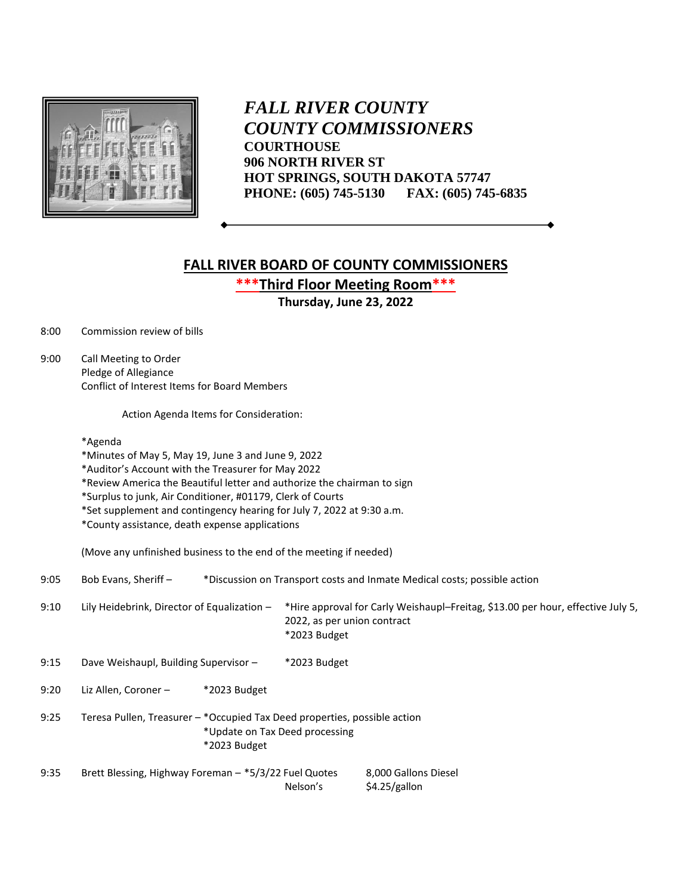

 *FALL RIVER COUNTY COUNTY COMMISSIONERS* **COURTHOUSE 906 NORTH RIVER ST HOT SPRINGS, SOUTH DAKOTA 57747 PHONE: (605) 745-5130 FAX: (605) 745-6835**

## **FALL RIVER BOARD OF COUNTY COMMISSIONERS**

**\*\*\*Third Floor Meeting Room\*\*\***

**Thursday, June 23, 2022**

8:00 Commission review of bills

9:00 Call Meeting to Order Pledge of Allegiance Conflict of Interest Items for Board Members

Action Agenda Items for Consideration:

\*Agenda

\*Minutes of May 5, May 19, June 3 and June 9, 2022

\*Auditor's Account with the Treasurer for May 2022

\*Review America the Beautiful letter and authorize the chairman to sign

\*Surplus to junk, Air Conditioner, #01179, Clerk of Courts

\*Set supplement and contingency hearing for July 7, 2022 at 9:30 a.m.

\*County assistance, death expense applications

(Move any unfinished business to the end of the meeting if needed)

9:05 Bob Evans, Sheriff – \*Discussion on Transport costs and Inmate Medical costs; possible action

9:10 Lily Heidebrink, Director of Equalization – \*Hire approval for Carly Weishaupl–Freitag, \$13.00 per hour, effective July 5, 2022, as per union contract \*2023 Budget

9:15 Dave Weishaupl, Building Supervisor – \*2023 Budget

9:20 Liz Allen, Coroner – \*2023 Budget

- 9:25 Teresa Pullen, Treasurer \*Occupied Tax Deed properties, possible action \*Update on Tax Deed processing \*2023 Budget
- 9:35 Brett Blessing, Highway Foreman \*5/3/22 Fuel Quotes 8,000 Gallons Diesel Nelson's \$4.25/gallon